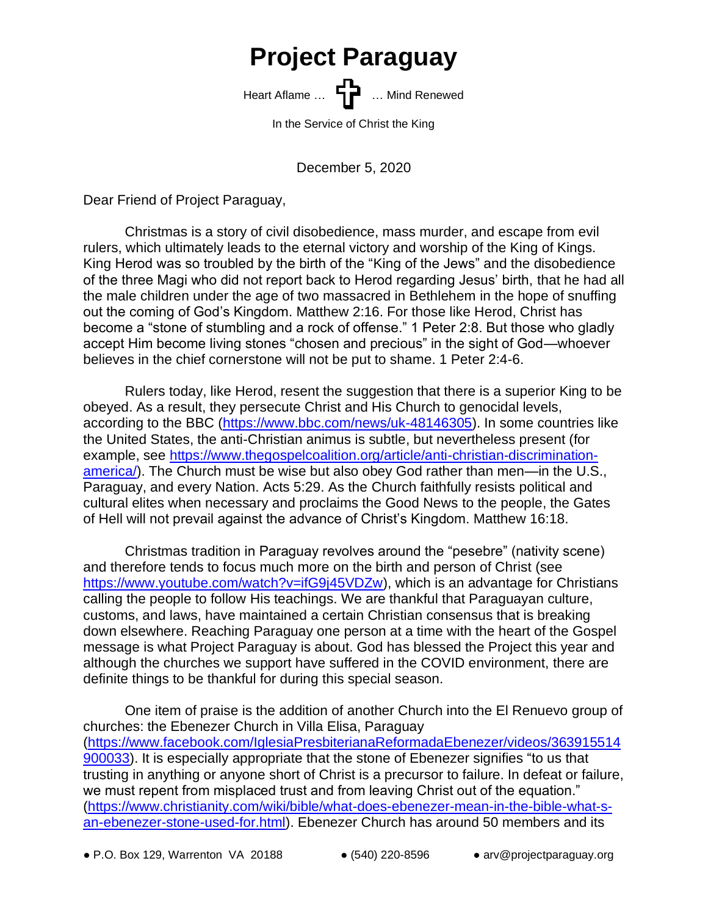## **Project Paraguay**

Heart Aflame ... **Heart Aflame** ... **Heart Aflame** ... Mind Renewed

In the Service of Christ the King

December 5, 2020

Dear Friend of Project Paraguay,

Christmas is a story of civil disobedience, mass murder, and escape from evil rulers, which ultimately leads to the eternal victory and worship of the King of Kings. King Herod was so troubled by the birth of the "King of the Jews" and the disobedience of the three Magi who did not report back to Herod regarding Jesus' birth, that he had all the male children under the age of two massacred in Bethlehem in the hope of snuffing out the coming of God's Kingdom. Matthew 2:16. For those like Herod, Christ has become a "stone of stumbling and a rock of offense." 1 Peter 2:8. But those who gladly accept Him become living stones "chosen and precious" in the sight of God—whoever believes in the chief cornerstone will not be put to shame. 1 Peter 2:4-6.

Rulers today, like Herod, resent the suggestion that there is a superior King to be obeyed. As a result, they persecute Christ and His Church to genocidal levels, according to the BBC [\(https://www.bbc.com/news/uk-48146305\)](https://www.bbc.com/news/uk-48146305). In some countries like the United States, the anti-Christian animus is subtle, but nevertheless present (for example, see [https://www.thegospelcoalition.org/article/anti-christian-discrimination](https://www.thegospelcoalition.org/article/anti-christian-discrimination-america/)[america/\)](https://www.thegospelcoalition.org/article/anti-christian-discrimination-america/). The Church must be wise but also obey God rather than men—in the U.S., Paraguay, and every Nation. Acts 5:29. As the Church faithfully resists political and cultural elites when necessary and proclaims the Good News to the people, the Gates of Hell will not prevail against the advance of Christ's Kingdom. Matthew 16:18.

Christmas tradition in Paraguay revolves around the "pesebre" (nativity scene) and therefore tends to focus much more on the birth and person of Christ (see [https://www.youtube.com/watch?v=ifG9j45VDZw\)](https://www.youtube.com/watch?v=ifG9j45VDZw), which is an advantage for Christians calling the people to follow His teachings. We are thankful that Paraguayan culture, customs, and laws, have maintained a certain Christian consensus that is breaking down elsewhere. Reaching Paraguay one person at a time with the heart of the Gospel message is what Project Paraguay is about. God has blessed the Project this year and although the churches we support have suffered in the COVID environment, there are definite things to be thankful for during this special season.

One item of praise is the addition of another Church into the El Renuevo group of churches: the Ebenezer Church in Villa Elisa, Paraguay [\(https://www.facebook.com/IglesiaPresbiterianaReformadaEbenezer/videos/363915514](https://www.facebook.com/IglesiaPresbiterianaReformadaEbenezer/videos/363915514900033) [900033\)](https://www.facebook.com/IglesiaPresbiterianaReformadaEbenezer/videos/363915514900033). It is especially appropriate that the stone of Ebenezer signifies "to us that trusting in anything or anyone short of Christ is a precursor to failure. In defeat or failure, we must repent from misplaced trust and from leaving Christ out of the equation." [\(https://www.christianity.com/wiki/bible/what-does-ebenezer-mean-in-the-bible-what-s](https://www.christianity.com/wiki/bible/what-does-ebenezer-mean-in-the-bible-what-s-an-ebenezer-stone-used-for.html)[an-ebenezer-stone-used-for.html\)](https://www.christianity.com/wiki/bible/what-does-ebenezer-mean-in-the-bible-what-s-an-ebenezer-stone-used-for.html). Ebenezer Church has around 50 members and its

 $\bullet$  P.O. Box 129, Warrenton VA 20188  $\bullet$  (540) 220-8596  $\bullet$  arv@projectparaguay.org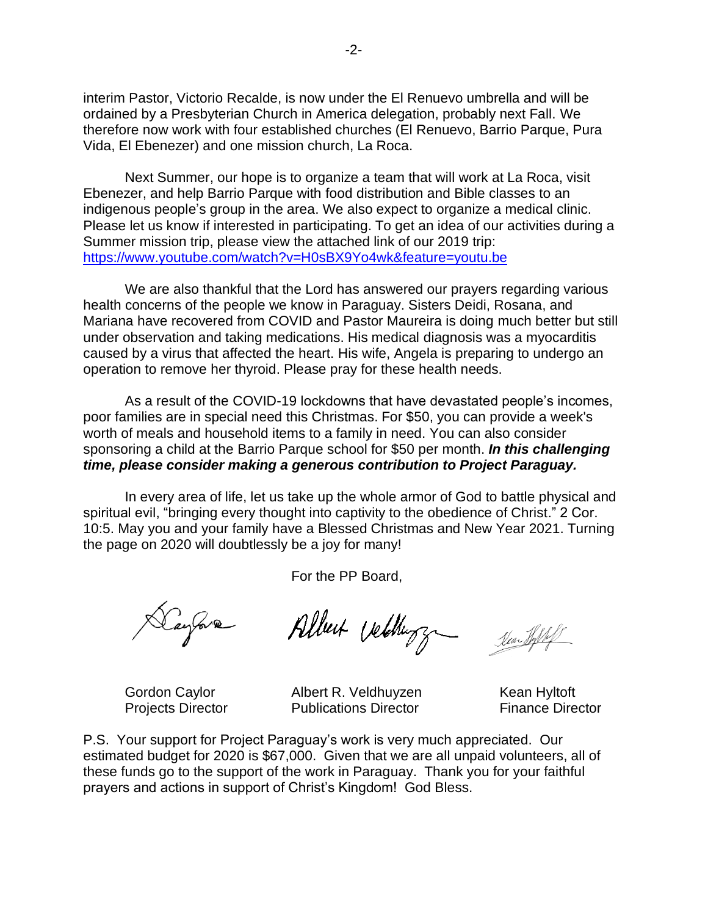interim Pastor, Victorio Recalde, is now under the El Renuevo umbrella and will be ordained by a Presbyterian Church in America delegation, probably next Fall. We therefore now work with four established churches (El Renuevo, Barrio Parque, Pura Vida, El Ebenezer) and one mission church, La Roca.

Next Summer, our hope is to organize a team that will work at La Roca, visit Ebenezer, and help Barrio Parque with food distribution and Bible classes to an indigenous people's group in the area. We also expect to organize a medical clinic. Please let us know if interested in participating. To get an idea of our activities during a Summer mission trip, please view the attached link of our 2019 trip: <https://www.youtube.com/watch?v=H0sBX9Yo4wk&feature=youtu.be>

We are also thankful that the Lord has answered our prayers regarding various health concerns of the people we know in Paraguay. Sisters Deidi, Rosana, and Mariana have recovered from COVID and Pastor Maureira is doing much better but still under observation and taking medications. His medical diagnosis was a myocarditis caused by a virus that affected the heart. His wife, Angela is preparing to undergo an operation to remove her thyroid. Please pray for these health needs.

As a result of the COVID-19 lockdowns that have devastated people's incomes, poor families are in special need this Christmas. For \$50, you can provide a week's worth of meals and household items to a family in need. You can also consider sponsoring a child at the Barrio Parque school for \$50 per month. *In this challenging time, please consider making a generous contribution to Project Paraguay.*

In every area of life, let us take up the whole armor of God to battle physical and spiritual evil, "bringing every thought into captivity to the obedience of Christ." 2 Cor. 10:5. May you and your family have a Blessed Christmas and New Year 2021. Turning the page on 2020 will doubtlessly be a joy for many!

For the PP Board,

Daylore

Albert Vettingz Sea Hill

Gordon Caylor Albert R. Veldhuyzen Kean Hyltoft Projects Director **Publications Director Projects Director** 

P.S. Your support for Project Paraguay's work is very much appreciated. Our estimated budget for 2020 is \$67,000. Given that we are all unpaid volunteers, all of these funds go to the support of the work in Paraguay. Thank you for your faithful prayers and actions in support of Christ's Kingdom! God Bless.